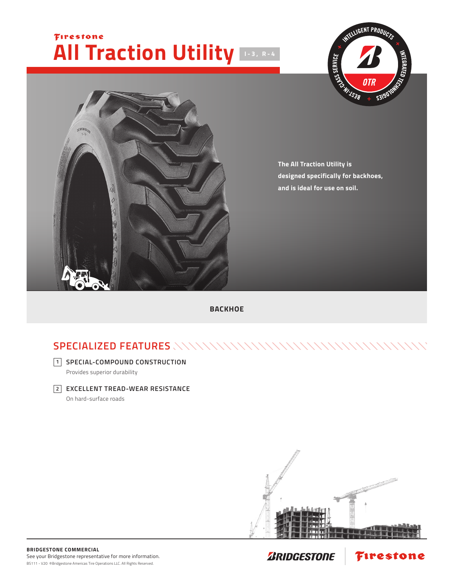## Firestone **All Traction Utility I-3, R-4**





**The All Traction Utility is designed specifically for backhoes, and is ideal for use on soil.**

**BACKHOE**

## **SPECIALIZED FEATURES**

**SPECIAL-COMPOUND CONSTRUCTION**

Provides superior durability

**EXCELLENT TREAD-WEAR RESISTANCE 2**

On hard-surface roads



Firestone